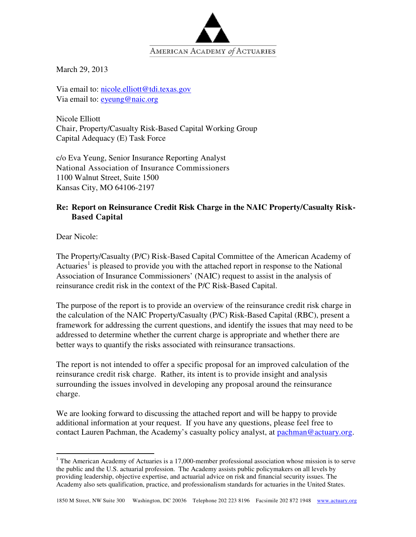

March 29, 2013

Via email to: nicole.elliott@tdi.texas.gov Via email to: eyeung@naic.org

Nicole Elliott Chair, Property/Casualty Risk-Based Capital Working Group Capital Adequacy (E) Task Force

c/o Eva Yeung, Senior Insurance Reporting Analyst National Association of Insurance Commissioners 1100 Walnut Street, Suite 1500 Kansas City, MO 64106-2197

#### **Re: Report on Reinsurance Credit Risk Charge in the NAIC Property/Casualty Risk-Based Capital**

Dear Nicole:

-

The Property/Casualty (P/C) Risk-Based Capital Committee of the American Academy of Actuaries<sup>1</sup> is pleased to provide you with the attached report in response to the National Association of Insurance Commissioners' (NAIC) request to assist in the analysis of reinsurance credit risk in the context of the P/C Risk-Based Capital.

The purpose of the report is to provide an overview of the reinsurance credit risk charge in the calculation of the NAIC Property/Casualty (P/C) Risk-Based Capital (RBC), present a framework for addressing the current questions, and identify the issues that may need to be addressed to determine whether the current charge is appropriate and whether there are better ways to quantify the risks associated with reinsurance transactions.

The report is not intended to offer a specific proposal for an improved calculation of the reinsurance credit risk charge. Rather, its intent is to provide insight and analysis surrounding the issues involved in developing any proposal around the reinsurance charge.

We are looking forward to discussing the attached report and will be happy to provide additional information at your request. If you have any questions, please feel free to contact Lauren Pachman, the Academy's casualty policy analyst, at pachman@actuary.org.

<sup>&</sup>lt;sup>1</sup> The American Academy of Actuaries is a 17,000-member professional association whose mission is to serve the public and the U.S. actuarial profession. The Academy assists public policymakers on all levels by providing leadership, objective expertise, and actuarial advice on risk and financial security issues. The Academy also sets qualification, practice, and professionalism standards for actuaries in the United States.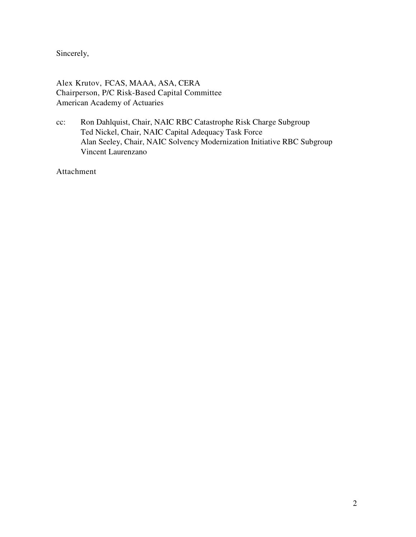Sincerely,

Alex Krutov, FCAS, MAAA, ASA, CERA Chairperson, P/C Risk-Based Capital Committee American Academy of Actuaries

cc: Ron Dahlquist, Chair, NAIC RBC Catastrophe Risk Charge Subgroup Ted Nickel, Chair, NAIC Capital Adequacy Task Force Alan Seeley, Chair, NAIC Solvency Modernization Initiative RBC Subgroup Vincent Laurenzano

Attachment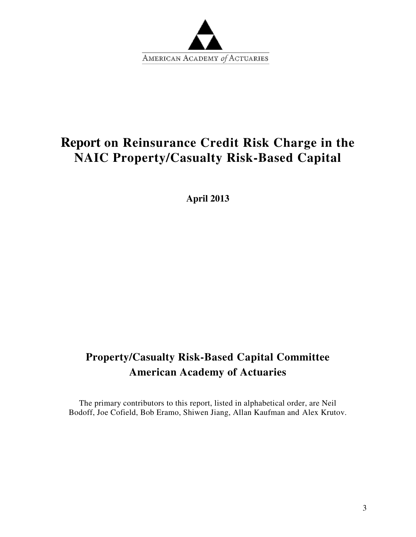

# **Report on Reinsurance Credit Risk Charge in the NAIC Property/Casualty Risk-Based Capital**

**April 2013** 

# **Property/Casualty Risk-Based Capital Committee American Academy of Actuaries**

The primary contributors to this report, listed in alphabetical order, are Neil Bodoff, Joe Cofield, Bob Eramo, Shiwen Jiang, Allan Kaufman and Alex Krutov.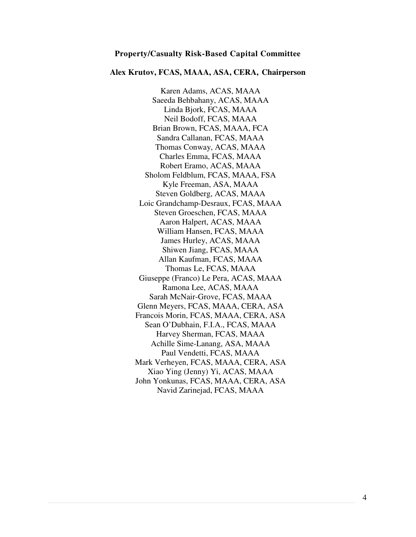#### **Property/Casualty Risk-Based Capital Committee**

#### **Alex Krutov, FCAS, MAAA, ASA, CERA, Chairperson**

Karen Adams, ACAS, MAAA Saeeda Behbahany, ACAS, MAAA Linda Bjork, FCAS, MAAA Neil Bodoff, FCAS, MAAA Brian Brown, FCAS, MAAA, FCA Sandra Callanan, FCAS, MAAA Thomas Conway, ACAS, MAAA Charles Emma, FCAS, MAAA Robert Eramo, ACAS, MAAA Sholom Feldblum, FCAS, MAAA, FSA Kyle Freeman, ASA, MAAA Steven Goldberg, ACAS, MAAA Loic Grandchamp-Desraux, FCAS, MAAA Steven Groeschen, FCAS, MAAA Aaron Halpert, ACAS, MAAA William Hansen, FCAS, MAAA James Hurley, ACAS, MAAA Shiwen Jiang, FCAS, MAAA Allan Kaufman, FCAS, MAAA Thomas Le, FCAS, MAAA Giuseppe (Franco) Le Pera, ACAS, MAAA Ramona Lee, ACAS, MAAA Sarah McNair-Grove, FCAS, MAAA Glenn Meyers, FCAS, MAAA, CERA, ASA Francois Morin, FCAS, MAAA, CERA, ASA Sean O'Dubhain, F.I.A., FCAS, MAAA Harvey Sherman, FCAS, MAAA Achille Sime-Lanang, ASA, MAAA Paul Vendetti, FCAS, MAAA Mark Verheyen, FCAS, MAAA, CERA, ASA Xiao Ying (Jenny) Yi, ACAS, MAAA John Yonkunas, FCAS, MAAA, CERA, ASA Navid Zarinejad, FCAS, MAAA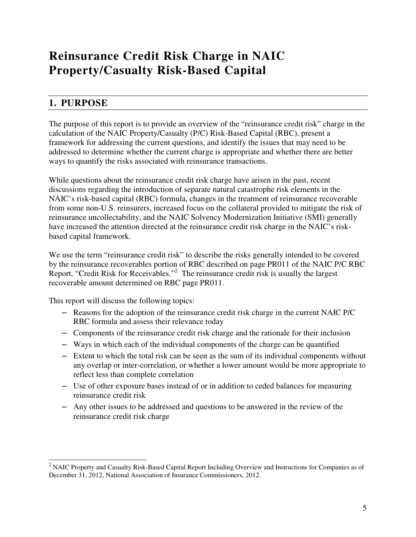# **Reinsurance Credit Risk Charge in NAIC Property/Casualty Risk-Based Capital**

# **1. PURPOSE**

l

The purpose of this report is to provide an overview of the "reinsurance credit risk" charge in the calculation of the NAIC Property/Casualty (P/C) Risk-Based Capital (RBC), present a framework for addressing the current questions, and identify the issues that may need to be addressed to determine whether the current charge is appropriate and whether there are better ways to quantify the risks associated with reinsurance transactions.

While questions about the reinsurance credit risk charge have arisen in the past, recent discussions regarding the introduction of separate natural catastrophe risk elements in the NAIC's risk-based capital (RBC) formula, changes in the treatment of reinsurance recoverable from some non-U.S. reinsurers, increased focus on the collateral provided to mitigate the risk of reinsurance uncollectability, and the NAIC Solvency Modernization Initiative (SMI) generally have increased the attention directed at the reinsurance credit risk charge in the NAIC's riskbased capital framework.

We use the term "reinsurance credit risk" to describe the risks generally intended to be covered by the reinsurance recoverables portion of RBC described on page PR011 of the NAIC P/C RBC Report, "Credit Risk for Receivables."<sup>2</sup> The reinsurance credit risk is usually the largest recoverable amount determined on RBC page PR011.

This report will discuss the following topics:

- ― Reasons for the adoption of the reinsurance credit risk charge in the current NAIC P/C RBC formula and assess their relevance today
- ― Components of the reinsurance credit risk charge and the rationale for their inclusion
- ― Ways in which each of the individual components of the charge can be quantified
- ― Extent to which the total risk can be seen as the sum of its individual components without any overlap or inter-correlation, or whether a lower amount would be more appropriate to reflect less than complete correlation
- ― Use of other exposure bases instead of or in addition to ceded balances for measuring reinsurance credit risk
- ― Any other issues to be addressed and questions to be answered in the review of the reinsurance credit risk charge

<sup>&</sup>lt;sup>2</sup> NAIC Property and Casualty Risk-Based Capital Report Including Overview and Instructions for Companies as of December 31, 2012, National Association of Insurance Commissioners, 2012.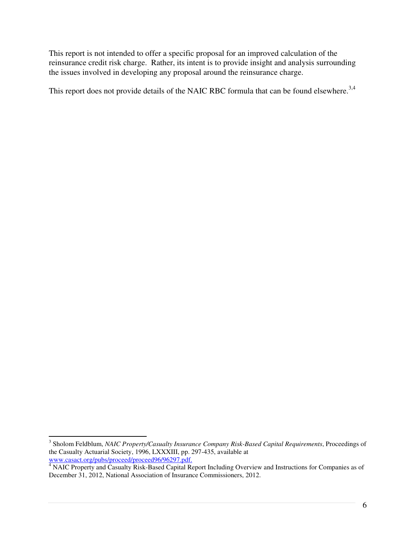This report is not intended to offer a specific proposal for an improved calculation of the reinsurance credit risk charge. Rather, its intent is to provide insight and analysis surrounding the issues involved in developing any proposal around the reinsurance charge.

This report does not provide details of the NAIC RBC formula that can be found elsewhere.<sup>3,4</sup>

 $\overline{a}$ 

<sup>3</sup> Sholom Feldblum, *NAIC Property/Casualty Insurance Company Risk-Based Capital Requirements*, Proceedings of the Casualty Actuarial Society, 1996, LXXXIII, pp. 297-435, available at www.casact.org/pubs/proceed/proceed96/96297.pdf.

<sup>&</sup>lt;sup>4</sup> NAIC Property and Casualty Risk-Based Capital Report Including Overview and Instructions for Companies as of December 31, 2012, National Association of Insurance Commissioners, 2012.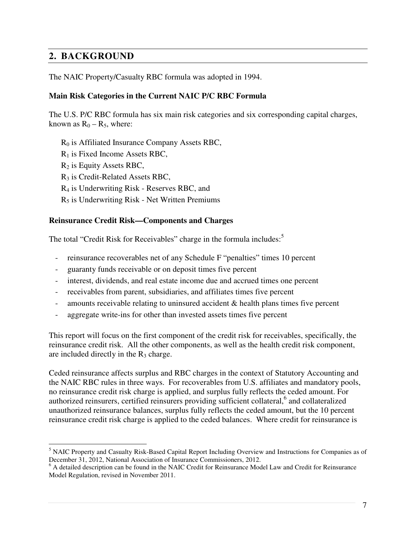# **2. BACKGROUND**

The NAIC Property/Casualty RBC formula was adopted in 1994.

#### **Main Risk Categories in the Current NAIC P/C RBC Formula**

The U.S. P/C RBC formula has six main risk categories and six corresponding capital charges, known as  $R_0 - R_5$ , where:

- $R_0$  is Affiliated Insurance Company Assets RBC,
- $R_1$  is Fixed Income Assets RBC,
- $R_2$  is Equity Assets RBC,

l

- R3 is Credit-Related Assets RBC,
- R4 is Underwriting Risk Reserves RBC, and
- R5 is Underwriting Risk Net Written Premiums

#### **Reinsurance Credit Risk—Components and Charges**

The total "Credit Risk for Receivables" charge in the formula includes:<sup>5</sup>

- reinsurance recoverables net of any Schedule F "penalties" times 10 percent
- guaranty funds receivable or on deposit times five percent
- interest, dividends, and real estate income due and accrued times one percent
- receivables from parent, subsidiaries, and affiliates times five percent
- amounts receivable relating to uninsured accident & health plans times five percent
- aggregate write-ins for other than invested assets times five percent

This report will focus on the first component of the credit risk for receivables, specifically, the reinsurance credit risk. All the other components, as well as the health credit risk component, are included directly in the  $R_3$  charge.

Ceded reinsurance affects surplus and RBC charges in the context of Statutory Accounting and the NAIC RBC rules in three ways. For recoverables from U.S. affiliates and mandatory pools, no reinsurance credit risk charge is applied, and surplus fully reflects the ceded amount. For authorized reinsurers, certified reinsurers providing sufficient collateral,<sup>6</sup> and collateralized unauthorized reinsurance balances, surplus fully reflects the ceded amount, but the 10 percent reinsurance credit risk charge is applied to the ceded balances. Where credit for reinsurance is

<sup>&</sup>lt;sup>5</sup> NAIC Property and Casualty Risk-Based Capital Report Including Overview and Instructions for Companies as of December 31, 2012, National Association of Insurance Commissioners, 2012.

<sup>&</sup>lt;sup>6</sup> A detailed description can be found in the NAIC Credit for Reinsurance Model Law and Credit for Reinsurance Model Regulation, revised in November 2011.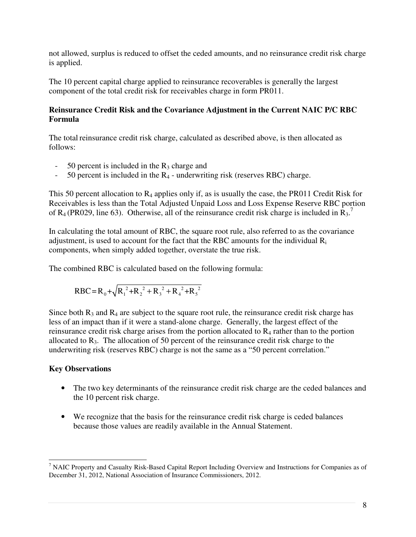not allowed, surplus is reduced to offset the ceded amounts, and no reinsurance credit risk charge is applied.

The 10 percent capital charge applied to reinsurance recoverables is generally the largest component of the total credit risk for receivables charge in form PR011.

#### **Reinsurance Credit Risk and the Covariance Adjustment in the Current NAIC P/C RBC Formula**

The total reinsurance credit risk charge, calculated as described above, is then allocated as follows:

- $-50$  percent is included in the  $R_3$  charge and
- 50 percent is included in the  $R_4$  underwriting risk (reserves RBC) charge.

This 50 percent allocation to  $R_4$  applies only if, as is usually the case, the PR011 Credit Risk for Receivables is less than the Total Adjusted Unpaid Loss and Loss Expense Reserve RBC portion of R<sub>4</sub> (PR029, line 63). Otherwise, all of the reinsurance credit risk charge is included in  $\overline{R}_3$ <sup>7</sup>.

In calculating the total amount of RBC, the square root rule, also referred to as the covariance adjustment, is used to account for the fact that the RBC amounts for the individual  $R_i$ components, when simply added together, overstate the true risk.

The combined RBC is calculated based on the following formula:

$$
RBC = R_0 + \sqrt{R_1^2 + R_2^2 + R_3^2 + R_4^2 + R_5^2}
$$

Since both  $R_3$  and  $R_4$  are subject to the square root rule, the reinsurance credit risk charge has less of an impact than if it were a stand-alone charge. Generally, the largest effect of the reinsurance credit risk charge arises from the portion allocated to R4 rather than to the portion allocated to  $R_3$ . The allocation of 50 percent of the reinsurance credit risk charge to the underwriting risk (reserves RBC) charge is not the same as a "50 percent correlation."

#### **Key Observations**

l

- The two key determinants of the reinsurance credit risk charge are the ceded balances and the 10 percent risk charge.
- We recognize that the basis for the reinsurance credit risk charge is ceded balances because those values are readily available in the Annual Statement.

<sup>&</sup>lt;sup>7</sup> NAIC Property and Casualty Risk-Based Capital Report Including Overview and Instructions for Companies as of December 31, 2012, National Association of Insurance Commissioners, 2012.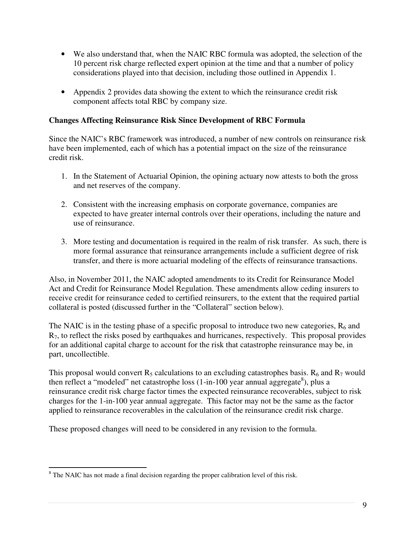- We also understand that, when the NAIC RBC formula was adopted, the selection of the 10 percent risk charge reflected expert opinion at the time and that a number of policy considerations played into that decision, including those outlined in Appendix 1.
- Appendix 2 provides data showing the extent to which the reinsurance credit risk component affects total RBC by company size.

#### **Changes Affecting Reinsurance Risk Since Development of RBC Formula**

Since the NAIC's RBC framework was introduced, a number of new controls on reinsurance risk have been implemented, each of which has a potential impact on the size of the reinsurance credit risk.

- 1. In the Statement of Actuarial Opinion, the opining actuary now attests to both the gross and net reserves of the company.
- 2. Consistent with the increasing emphasis on corporate governance, companies are expected to have greater internal controls over their operations, including the nature and use of reinsurance.
- 3. More testing and documentation is required in the realm of risk transfer. As such, there is more formal assurance that reinsurance arrangements include a sufficient degree of risk transfer, and there is more actuarial modeling of the effects of reinsurance transactions.

Also, in November 2011, the NAIC adopted amendments to its Credit for Reinsurance Model Act and Credit for Reinsurance Model Regulation. These amendments allow ceding insurers to receive credit for reinsurance ceded to certified reinsurers, to the extent that the required partial collateral is posted (discussed further in the "Collateral" section below).

The NAIC is in the testing phase of a specific proposal to introduce two new categories,  $R_6$  and  $R<sub>7</sub>$ , to reflect the risks posed by earthquakes and hurricanes, respectively. This proposal provides for an additional capital charge to account for the risk that catastrophe reinsurance may be, in part, uncollectible.

This proposal would convert  $R_5$  calculations to an excluding catastrophes basis.  $R_6$  and  $R_7$  would then reflect a "modeled" net catastrophe loss  $(1-in-100)$  year annual aggregate<sup>8</sup>), plus a reinsurance credit risk charge factor times the expected reinsurance recoverables, subject to risk charges for the 1-in-100 year annual aggregate. This factor may not be the same as the factor applied to reinsurance recoverables in the calculation of the reinsurance credit risk charge.

These proposed changes will need to be considered in any revision to the formula.

<sup>&</sup>lt;sup>8</sup> The NAIC has not made a final decision regarding the proper calibration level of this risk.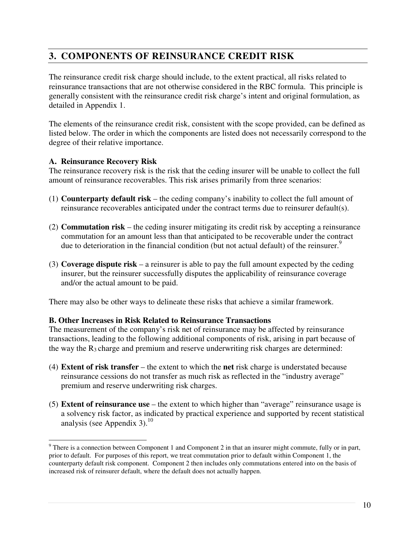# **3. COMPONENTS OF REINSURANCE CREDIT RISK**

The reinsurance credit risk charge should include, to the extent practical, all risks related to reinsurance transactions that are not otherwise considered in the RBC formula. This principle is generally consistent with the reinsurance credit risk charge's intent and original formulation, as detailed in Appendix 1.

The elements of the reinsurance credit risk, consistent with the scope provided, can be defined as listed below. The order in which the components are listed does not necessarily correspond to the degree of their relative importance.

#### **A. Reinsurance Recovery Risk**

l

The reinsurance recovery risk is the risk that the ceding insurer will be unable to collect the full amount of reinsurance recoverables. This risk arises primarily from three scenarios:

- (1) **Counterparty default risk** the ceding company's inability to collect the full amount of reinsurance recoverables anticipated under the contract terms due to reinsurer default(s).
- (2) **Commutation risk** the ceding insurer mitigating its credit risk by accepting a reinsurance commutation for an amount less than that anticipated to be recoverable under the contract due to deterioration in the financial condition (but not actual default) of the reinsurer.<sup>9</sup>
- (3) **Coverage dispute risk** a reinsurer is able to pay the full amount expected by the ceding insurer, but the reinsurer successfully disputes the applicability of reinsurance coverage and/or the actual amount to be paid.

There may also be other ways to delineate these risks that achieve a similar framework.

#### **B. Other Increases in Risk Related to Reinsurance Transactions**

The measurement of the company's risk net of reinsurance may be affected by reinsurance transactions, leading to the following additional components of risk, arising in part because of the way the  $R_3$  charge and premium and reserve underwriting risk charges are determined:

- (4) **Extent of risk transfer** the extent to which the **net** risk charge is understated because reinsurance cessions do not transfer as much risk as reflected in the "industry average" premium and reserve underwriting risk charges.
- (5) **Extent of reinsurance use** the extent to which higher than "average" reinsurance usage is a solvency risk factor, as indicated by practical experience and supported by recent statistical analysis (see Appendix 3). $^{10}$

 $9$  There is a connection between Component 1 and Component 2 in that an insurer might commute, fully or in part, prior to default. For purposes of this report, we treat commutation prior to default within Component 1, the counterparty default risk component. Component 2 then includes only commutations entered into on the basis of increased risk of reinsurer default, where the default does not actually happen.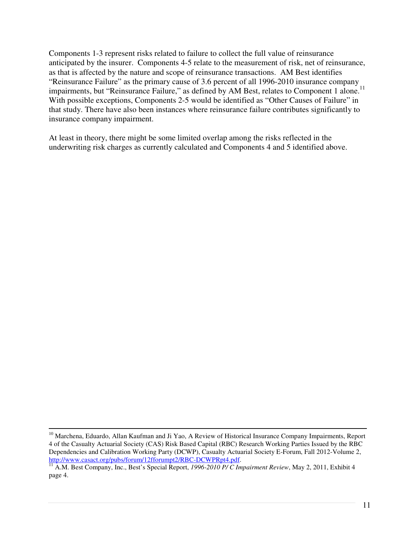Components 1-3 represent risks related to failure to collect the full value of reinsurance anticipated by the insurer. Components 4-5 relate to the measurement of risk, net of reinsurance, as that is affected by the nature and scope of reinsurance transactions. AM Best identifies "Reinsurance Failure" as the primary cause of 3.6 percent of all 1996-2010 insurance company impairments, but "Reinsurance Failure," as defined by AM Best, relates to Component 1 alone.<sup>11</sup> With possible exceptions, Components 2-5 would be identified as "Other Causes of Failure" in that study. There have also been instances where reinsurance failure contributes significantly to insurance company impairment.

At least in theory, there might be some limited overlap among the risks reflected in the underwriting risk charges as currently calculated and Components 4 and 5 identified above.

l

<sup>&</sup>lt;sup>10</sup> Marchena, Eduardo, Allan Kaufman and Ji Yao, A Review of Historical Insurance Company Impairments, Report 4 of the Casualty Actuarial Society (CAS) Risk Based Capital (RBC) Research Working Parties Issued by the RBC Dependencies and Calibration Working Party (DCWP), Casualty Actuarial Society E-Forum, Fall 2012-Volume 2, http://www.casact.org/pubs/forum/12fforumpt2/RBC-DCWPRpt4.pdf.

<sup>11</sup> A.M. Best Company, Inc., Best's Special Report, *1996-2010 P/ C Impairment Review*, May 2, 2011, Exhibit 4 page 4.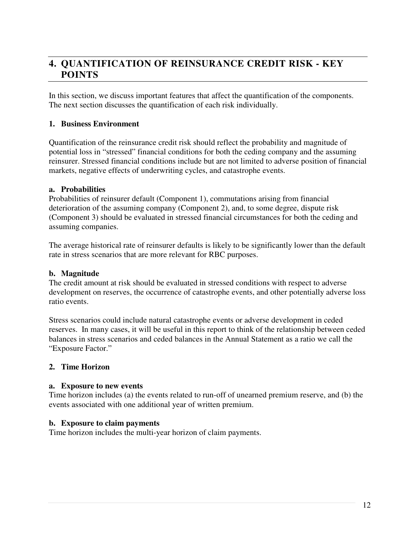# **4. QUANTIFICATION OF REINSURANCE CREDIT RISK - KEY POINTS**

In this section, we discuss important features that affect the quantification of the components. The next section discusses the quantification of each risk individually.

#### **1. Business Environment**

Quantification of the reinsurance credit risk should reflect the probability and magnitude of potential loss in "stressed" financial conditions for both the ceding company and the assuming reinsurer. Stressed financial conditions include but are not limited to adverse position of financial markets, negative effects of underwriting cycles, and catastrophe events.

#### **a. Probabilities**

Probabilities of reinsurer default (Component 1), commutations arising from financial deterioration of the assuming company (Component 2), and, to some degree, dispute risk (Component 3) should be evaluated in stressed financial circumstances for both the ceding and assuming companies.

The average historical rate of reinsurer defaults is likely to be significantly lower than the default rate in stress scenarios that are more relevant for RBC purposes.

#### **b. Magnitude**

The credit amount at risk should be evaluated in stressed conditions with respect to adverse development on reserves, the occurrence of catastrophe events, and other potentially adverse loss ratio events.

Stress scenarios could include natural catastrophe events or adverse development in ceded reserves. In many cases, it will be useful in this report to think of the relationship between ceded balances in stress scenarios and ceded balances in the Annual Statement as a ratio we call the "Exposure Factor."

#### **2. Time Horizon**

#### **a. Exposure to new events**

Time horizon includes (a) the events related to run-off of unearned premium reserve, and (b) the events associated with one additional year of written premium.

#### **b. Exposure to claim payments**

Time horizon includes the multi-year horizon of claim payments.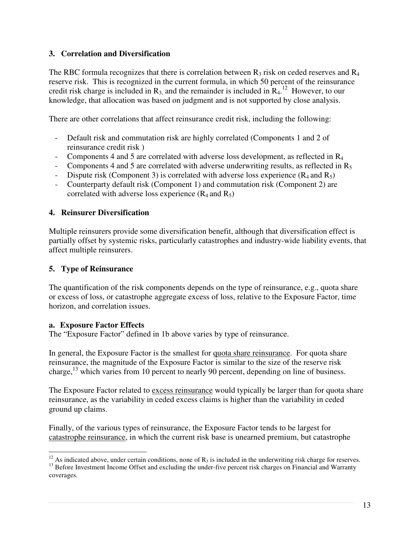#### **3. Correlation and Diversification**

The RBC formula recognizes that there is correlation between  $R_3$  risk on ceded reserves and  $R_4$ reserve risk. This is recognized in the current formula, in which 50 percent of the reinsurance credit risk charge is included in  $R_3$ , and the remainder is included in  $R_4$ .<sup>12</sup> However, to our knowledge, that allocation was based on judgment and is not supported by close analysis.

There are other correlations that affect reinsurance credit risk, including the following:

- Default risk and commutation risk are highly correlated (Components 1 and 2 of reinsurance credit risk )
- Components 4 and 5 are correlated with adverse loss development, as reflected in  $R_4$
- Components 4 and 5 are correlated with adverse underwriting results, as reflected in  $R_5$
- Dispute risk (Component 3) is correlated with adverse loss experience  $(R_4 \text{ and } R_5)$
- Counterparty default risk (Component 1) and commutation risk (Component 2) are correlated with adverse loss experience  $(R_4$  and  $R_5)$

#### **4. Reinsurer Diversification**

Multiple reinsurers provide some diversification benefit, although that diversification effect is partially offset by systemic risks, particularly catastrophes and industry-wide liability events, that affect multiple reinsurers.

#### **5. Type of Reinsurance**

The quantification of the risk components depends on the type of reinsurance, e.g., quota share or excess of loss, or catastrophe aggregate excess of loss, relative to the Exposure Factor, time horizon, and correlation issues.

#### **a. Exposure Factor Effects**

The "Exposure Factor" defined in 1b above varies by type of reinsurance.

In general, the Exposure Factor is the smallest for quota share reinsurance. For quota share reinsurance, the magnitude of the Exposure Factor is similar to the size of the reserve risk charge,  $^{13}$  which varies from 10 percent to nearly 90 percent, depending on line of business.

The Exposure Factor related to excess reinsurance would typically be larger than for quota share reinsurance, as the variability in ceded excess claims is higher than the variability in ceded ground up claims.

Finally, of the various types of reinsurance, the Exposure Factor tends to be largest for catastrophe reinsurance, in which the current risk base is unearned premium, but catastrophe

 $\overline{\phantom{a}}$ <sup>12</sup> As indicated above, under certain conditions, none of  $R_3$  is included in the underwriting risk charge for reserves.

<sup>&</sup>lt;sup>13</sup> Before Investment Income Offset and excluding the under-five percent risk charges on Financial and Warranty coverages.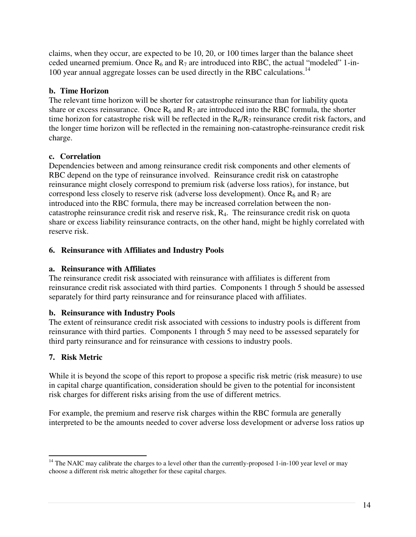claims, when they occur, are expected to be 10, 20, or 100 times larger than the balance sheet ceded unearned premium. Once  $R_6$  and  $R_7$  are introduced into RBC, the actual "modeled" 1-in-100 year annual aggregate losses can be used directly in the RBC calculations.<sup>14</sup>

### **b. Time Horizon**

The relevant time horizon will be shorter for catastrophe reinsurance than for liability quota share or excess reinsurance. Once  $R_6$  and  $R_7$  are introduced into the RBC formula, the shorter time horizon for catastrophe risk will be reflected in the  $R_6/R_7$  reinsurance credit risk factors, and the longer time horizon will be reflected in the remaining non-catastrophe-reinsurance credit risk charge.

### **c. Correlation**

Dependencies between and among reinsurance credit risk components and other elements of RBC depend on the type of reinsurance involved. Reinsurance credit risk on catastrophe reinsurance might closely correspond to premium risk (adverse loss ratios), for instance, but correspond less closely to reserve risk (adverse loss development). Once  $R_6$  and  $R_7$  are introduced into the RBC formula, there may be increased correlation between the noncatastrophe reinsurance credit risk and reserve risk, R4. The reinsurance credit risk on quota share or excess liability reinsurance contracts, on the other hand, might be highly correlated with reserve risk.

### **6. Reinsurance with Affiliates and Industry Pools**

### **a. Reinsurance with Affiliates**

The reinsurance credit risk associated with reinsurance with affiliates is different from reinsurance credit risk associated with third parties. Components 1 through 5 should be assessed separately for third party reinsurance and for reinsurance placed with affiliates.

## **b. Reinsurance with Industry Pools**

The extent of reinsurance credit risk associated with cessions to industry pools is different from reinsurance with third parties. Components 1 through 5 may need to be assessed separately for third party reinsurance and for reinsurance with cessions to industry pools.

## **7. Risk Metric**

While it is beyond the scope of this report to propose a specific risk metric (risk measure) to use in capital charge quantification, consideration should be given to the potential for inconsistent risk charges for different risks arising from the use of different metrics.

For example, the premium and reserve risk charges within the RBC formula are generally interpreted to be the amounts needed to cover adverse loss development or adverse loss ratios up

l  $14$  The NAIC may calibrate the charges to a level other than the currently-proposed 1-in-100 year level or may choose a different risk metric altogether for these capital charges.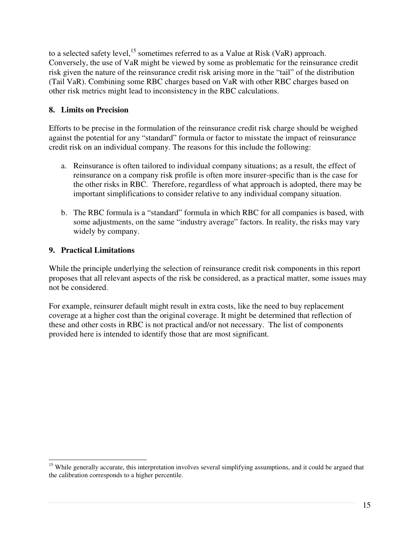to a selected safety level,  $^{15}$  sometimes referred to as a Value at Risk (VaR) approach. Conversely, the use of VaR might be viewed by some as problematic for the reinsurance credit risk given the nature of the reinsurance credit risk arising more in the "tail" of the distribution (Tail VaR). Combining some RBC charges based on VaR with other RBC charges based on other risk metrics might lead to inconsistency in the RBC calculations.

#### **8. Limits on Precision**

Efforts to be precise in the formulation of the reinsurance credit risk charge should be weighed against the potential for any "standard" formula or factor to misstate the impact of reinsurance credit risk on an individual company. The reasons for this include the following:

- a. Reinsurance is often tailored to individual company situations; as a result, the effect of reinsurance on a company risk profile is often more insurer-specific than is the case for the other risks in RBC. Therefore, regardless of what approach is adopted, there may be important simplifications to consider relative to any individual company situation.
- b. The RBC formula is a "standard" formula in which RBC for all companies is based, with some adjustments, on the same "industry average" factors. In reality, the risks may vary widely by company.

#### **9. Practical Limitations**

l

While the principle underlying the selection of reinsurance credit risk components in this report proposes that all relevant aspects of the risk be considered, as a practical matter, some issues may not be considered.

For example, reinsurer default might result in extra costs, like the need to buy replacement coverage at a higher cost than the original coverage. It might be determined that reflection of these and other costs in RBC is not practical and/or not necessary. The list of components provided here is intended to identify those that are most significant.

 $15$  While generally accurate, this interpretation involves several simplifying assumptions, and it could be argued that the calibration corresponds to a higher percentile.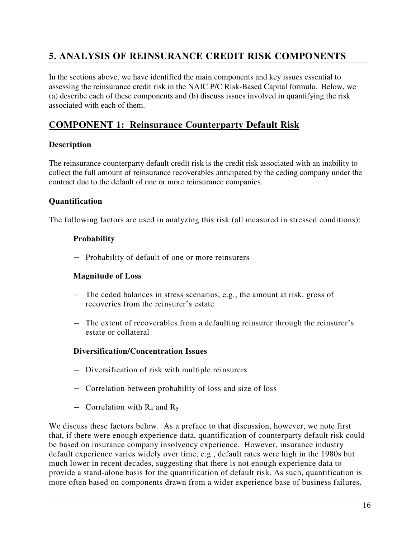# **5. ANALYSIS OF REINSURANCE CREDIT RISK COMPONENTS**

In the sections above, we have identified the main components and key issues essential to assessing the reinsurance credit risk in the NAIC P/C Risk-Based Capital formula. Below, we (a) describe each of these components and (b) discuss issues involved in quantifying the risk associated with each of them.

# **COMPONENT 1: Reinsurance Counterparty Default Risk**

#### **Description**

The reinsurance counterparty default credit risk is the credit risk associated with an inability to collect the full amount of reinsurance recoverables anticipated by the ceding company under the contract due to the default of one or more reinsurance companies.

#### **Quantification**

The following factors are used in analyzing this risk (all measured in stressed conditions):

#### **Probability**

― Probability of default of one or more reinsurers

#### **Magnitude of Loss**

- ― The ceded balances in stress scenarios, e.g., the amount at risk, gross of recoveries from the reinsurer's estate
- ― The extent of recoverables from a defaulting reinsurer through the reinsurer's estate or collateral

#### **Diversification/Concentration Issues**

- ― Diversification of risk with multiple reinsurers
- ― Correlation between probability of loss and size of loss
- Correlation with  $R_4$  and  $R_5$

We discuss these factors below. As a preface to that discussion, however, we note first that, if there were enough experience data, quantification of counterparty default risk could be based on insurance company insolvency experience. However, insurance industry default experience varies widely over time, e.g., default rates were high in the 1980s but much lower in recent decades, suggesting that there is not enough experience data to provide a stand-alone basis for the quantification of default risk. As such, quantification is more often based on components drawn from a wider experience base of business failures.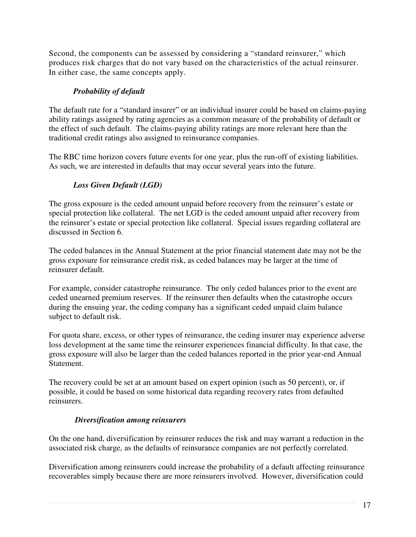Second, the components can be assessed by considering a "standard reinsurer," which produces risk charges that do not vary based on the characteristics of the actual reinsurer. In either case, the same concepts apply.

### *Probability of default*

The default rate for a "standard insurer" or an individual insurer could be based on claims-paying ability ratings assigned by rating agencies as a common measure of the probability of default or the effect of such default. The claims-paying ability ratings are more relevant here than the traditional credit ratings also assigned to reinsurance companies.

The RBC time horizon covers future events for one year, plus the run-off of existing liabilities. As such, we are interested in defaults that may occur several years into the future.

# *Loss Given Default (LGD)*

The gross exposure is the ceded amount unpaid before recovery from the reinsurer's estate or special protection like collateral. The net LGD is the ceded amount unpaid after recovery from the reinsurer's estate or special protection like collateral. Special issues regarding collateral are discussed in Section 6.

The ceded balances in the Annual Statement at the prior financial statement date may not be the gross exposure for reinsurance credit risk, as ceded balances may be larger at the time of reinsurer default.

For example, consider catastrophe reinsurance. The only ceded balances prior to the event are ceded unearned premium reserves. If the reinsurer then defaults when the catastrophe occurs during the ensuing year, the ceding company has a significant ceded unpaid claim balance subject to default risk.

For quota share, excess, or other types of reinsurance, the ceding insurer may experience adverse loss development at the same time the reinsurer experiences financial difficulty. In that case, the gross exposure will also be larger than the ceded balances reported in the prior year-end Annual Statement.

The recovery could be set at an amount based on expert opinion (such as 50 percent), or, if possible, it could be based on some historical data regarding recovery rates from defaulted reinsurers.

#### *Diversification among reinsurers*

On the one hand, diversification by reinsurer reduces the risk and may warrant a reduction in the associated risk charge, as the defaults of reinsurance companies are not perfectly correlated.

Diversification among reinsurers could increase the probability of a default affecting reinsurance recoverables simply because there are more reinsurers involved. However, diversification could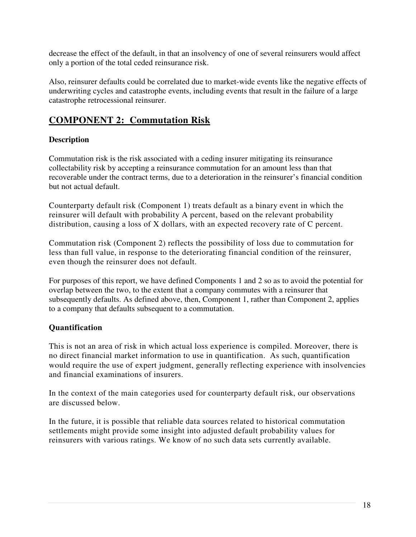decrease the effect of the default, in that an insolvency of one of several reinsurers would affect only a portion of the total ceded reinsurance risk.

Also, reinsurer defaults could be correlated due to market-wide events like the negative effects of underwriting cycles and catastrophe events, including events that result in the failure of a large catastrophe retrocessional reinsurer.

# **COMPONENT 2: Commutation Risk**

#### **Description**

Commutation risk is the risk associated with a ceding insurer mitigating its reinsurance collectability risk by accepting a reinsurance commutation for an amount less than that recoverable under the contract terms, due to a deterioration in the reinsurer's financial condition but not actual default.

Counterparty default risk (Component 1) treats default as a binary event in which the reinsurer will default with probability A percent, based on the relevant probability distribution, causing a loss of X dollars, with an expected recovery rate of C percent.

Commutation risk (Component 2) reflects the possibility of loss due to commutation for less than full value, in response to the deteriorating financial condition of the reinsurer, even though the reinsurer does not default.

For purposes of this report, we have defined Components 1 and 2 so as to avoid the potential for overlap between the two, to the extent that a company commutes with a reinsurer that subsequently defaults. As defined above, then, Component 1, rather than Component 2, applies to a company that defaults subsequent to a commutation.

## **Quantification**

This is not an area of risk in which actual loss experience is compiled. Moreover, there is no direct financial market information to use in quantification. As such, quantification would require the use of expert judgment, generally reflecting experience with insolvencies and financial examinations of insurers.

In the context of the main categories used for counterparty default risk, our observations are discussed below.

In the future, it is possible that reliable data sources related to historical commutation settlements might provide some insight into adjusted default probability values for reinsurers with various ratings. We know of no such data sets currently available.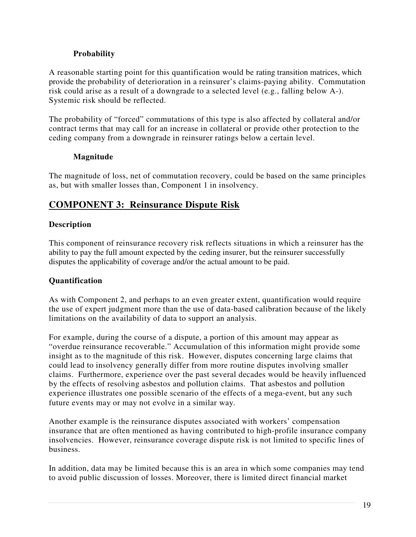#### **Probability**

A reasonable starting point for this quantification would be rating transition matrices, which provide the probability of deterioration in a reinsurer's claims-paying ability. Commutation risk could arise as a result of a downgrade to a selected level (e.g., falling below A-). Systemic risk should be reflected.

The probability of "forced" commutations of this type is also affected by collateral and/or contract terms that may call for an increase in collateral or provide other protection to the ceding company from a downgrade in reinsurer ratings below a certain level.

#### **Magnitude**

The magnitude of loss, net of commutation recovery, could be based on the same principles as, but with smaller losses than, Component 1 in insolvency.

# **COMPONENT 3: Reinsurance Dispute Risk**

#### **Description**

This component of reinsurance recovery risk reflects situations in which a reinsurer has the ability to pay the full amount expected by the ceding insurer, but the reinsurer successfully disputes the applicability of coverage and/or the actual amount to be paid.

#### **Quantification**

As with Component 2, and perhaps to an even greater extent, quantification would require the use of expert judgment more than the use of data-based calibration because of the likely limitations on the availability of data to support an analysis.

For example, during the course of a dispute, a portion of this amount may appear as "overdue reinsurance recoverable." Accumulation of this information might provide some insight as to the magnitude of this risk. However, disputes concerning large claims that could lead to insolvency generally differ from more routine disputes involving smaller claims. Furthermore, experience over the past several decades would be heavily influenced by the effects of resolving asbestos and pollution claims. That asbestos and pollution experience illustrates one possible scenario of the effects of a mega-event, but any such future events may or may not evolve in a similar way.

Another example is the reinsurance disputes associated with workers' compensation insurance that are often mentioned as having contributed to high-profile insurance company insolvencies. However, reinsurance coverage dispute risk is not limited to specific lines of business.

In addition, data may be limited because this is an area in which some companies may tend to avoid public discussion of losses. Moreover, there is limited direct financial market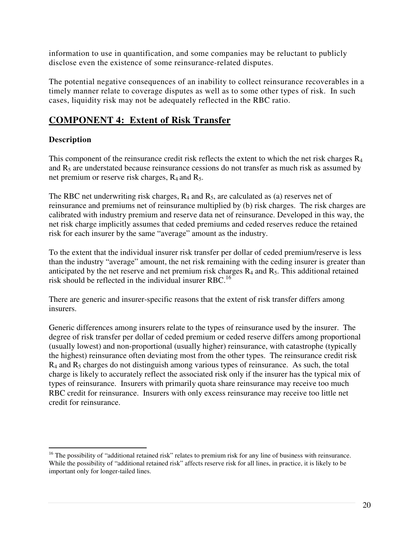information to use in quantification, and some companies may be reluctant to publicly disclose even the existence of some reinsurance-related disputes.

The potential negative consequences of an inability to collect reinsurance recoverables in a timely manner relate to coverage disputes as well as to some other types of risk. In such cases, liquidity risk may not be adequately reflected in the RBC ratio.

# **COMPONENT 4: Extent of Risk Transfer**

# **Description**

This component of the reinsurance credit risk reflects the extent to which the net risk charges  $R_4$ and  $R<sub>5</sub>$  are understated because reinsurance cessions do not transfer as much risk as assumed by net premium or reserve risk charges,  $R_4$  and  $R_5$ .

The RBC net underwriting risk charges,  $R_4$  and  $R_5$ , are calculated as (a) reserves net of reinsurance and premiums net of reinsurance multiplied by (b) risk charges. The risk charges are calibrated with industry premium and reserve data net of reinsurance. Developed in this way, the net risk charge implicitly assumes that ceded premiums and ceded reserves reduce the retained risk for each insurer by the same "average" amount as the industry.

To the extent that the individual insurer risk transfer per dollar of ceded premium/reserve is less than the industry "average" amount, the net risk remaining with the ceding insurer is greater than anticipated by the net reserve and net premium risk charges  $R_4$  and  $R_5$ . This additional retained risk should be reflected in the individual insurer RBC.<sup>16</sup>

There are generic and insurer-specific reasons that the extent of risk transfer differs among insurers.

Generic differences among insurers relate to the types of reinsurance used by the insurer. The degree of risk transfer per dollar of ceded premium or ceded reserve differs among proportional (usually lowest) and non-proportional (usually higher) reinsurance, with catastrophe (typically the highest) reinsurance often deviating most from the other types. The reinsurance credit risk  $R_4$  and  $R_5$  charges do not distinguish among various types of reinsurance. As such, the total charge is likely to accurately reflect the associated risk only if the insurer has the typical mix of types of reinsurance. Insurers with primarily quota share reinsurance may receive too much RBC credit for reinsurance. Insurers with only excess reinsurance may receive too little net credit for reinsurance.

 $\overline{\phantom{a}}$ <sup>16</sup> The possibility of "additional retained risk" relates to premium risk for any line of business with reinsurance. While the possibility of "additional retained risk" affects reserve risk for all lines, in practice, it is likely to be important only for longer-tailed lines.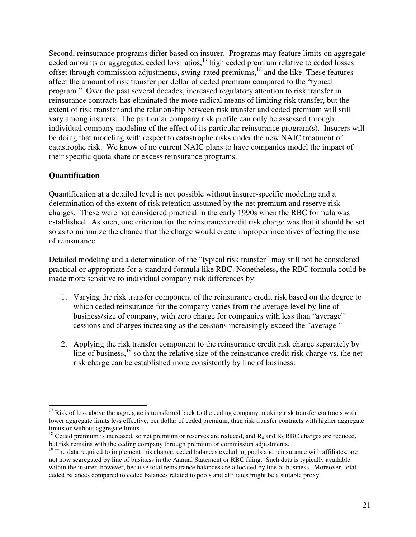Second, reinsurance programs differ based on insurer. Programs may feature limits on aggregate ceded amounts or aggregated ceded loss ratios, $17$  high ceded premium relative to ceded losses offset through commission adjustments, swing-rated premiums,<sup>18</sup> and the like. These features affect the amount of risk transfer per dollar of ceded premium compared to the "typical program." Over the past several decades, increased regulatory attention to risk transfer in reinsurance contracts has eliminated the more radical means of limiting risk transfer, but the extent of risk transfer and the relationship between risk transfer and ceded premium will still vary among insurers. The particular company risk profile can only be assessed through individual company modeling of the effect of its particular reinsurance program(s). Insurers will be doing that modeling with respect to catastrophe risks under the new NAIC treatment of catastrophe risk. We know of no current NAIC plans to have companies model the impact of their specific quota share or excess reinsurance programs.

#### **Quantification**

 $\overline{\phantom{a}}$ 

Quantification at a detailed level is not possible without insurer-specific modeling and a determination of the extent of risk retention assumed by the net premium and reserve risk charges. These were not considered practical in the early 1990s when the RBC formula was established. As such, one criterion for the reinsurance credit risk charge was that it should be set so as to minimize the chance that the charge would create improper incentives affecting the use of reinsurance.

Detailed modeling and a determination of the "typical risk transfer" may still not be considered practical or appropriate for a standard formula like RBC. Nonetheless, the RBC formula could be made more sensitive to individual company risk differences by:

- 1. Varying the risk transfer component of the reinsurance credit risk based on the degree to which ceded reinsurance for the company varies from the average level by line of business/size of company, with zero charge for companies with less than "average" cessions and charges increasing as the cessions increasingly exceed the "average."
- 2. Applying the risk transfer component to the reinsurance credit risk charge separately by line of business,<sup>19</sup> so that the relative size of the reinsurance credit risk charge vs. the net risk charge can be established more consistently by line of business.

 $17$  Risk of loss above the aggregate is transferred back to the ceding company, making risk transfer contracts with lower aggregate limits less effective, per dollar of ceded premium, than risk transfer contracts with higher aggregate limits or without aggregate limits.

<sup>&</sup>lt;sup>18</sup> Ceded premium is increased, so net premium or reserves are reduced, and  $R_4$  and  $R_5$  RBC charges are reduced, but risk remains with the ceding company through premium or commission adjustments.

 $19$  The data required to implement this change, ceded balances excluding pools and reinsurance with affiliates, are not now segregated by line of business in the Annual Statement or RBC filing. Such data is typically available within the insurer, however, because total reinsurance balances are allocated by line of business. Moreover, total ceded balances compared to ceded balances related to pools and affiliates might be a suitable proxy.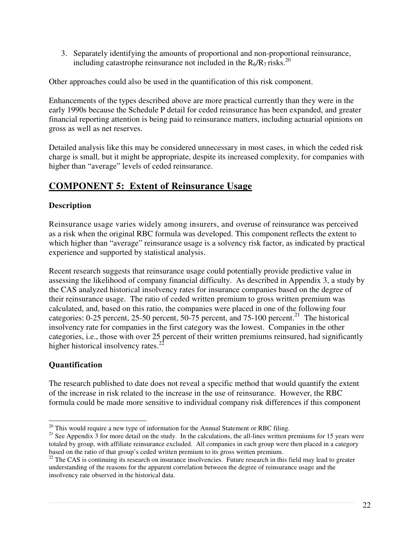3. Separately identifying the amounts of proportional and non-proportional reinsurance, including catastrophe reinsurance not included in the  $R_6/R_7$  risks.<sup>20</sup>

Other approaches could also be used in the quantification of this risk component.

Enhancements of the types described above are more practical currently than they were in the early 1990s because the Schedule P detail for ceded reinsurance has been expanded, and greater financial reporting attention is being paid to reinsurance matters, including actuarial opinions on gross as well as net reserves.

Detailed analysis like this may be considered unnecessary in most cases, in which the ceded risk charge is small, but it might be appropriate, despite its increased complexity, for companies with higher than "average" levels of ceded reinsurance.

# **COMPONENT 5: Extent of Reinsurance Usage**

### **Description**

Reinsurance usage varies widely among insurers, and overuse of reinsurance was perceived as a risk when the original RBC formula was developed. This component reflects the extent to which higher than "average" reinsurance usage is a solvency risk factor, as indicated by practical experience and supported by statistical analysis.

Recent research suggests that reinsurance usage could potentially provide predictive value in assessing the likelihood of company financial difficulty. As described in Appendix 3, a study by the CAS analyzed historical insolvency rates for insurance companies based on the degree of their reinsurance usage. The ratio of ceded written premium to gross written premium was calculated, and, based on this ratio, the companies were placed in one of the following four categories: 0-25 percent, 25-50 percent, 50-75 percent, and 75-100 percent.<sup>21</sup> The historical insolvency rate for companies in the first category was the lowest. Companies in the other categories, i.e., those with over 25 percent of their written premiums reinsured, had significantly higher historical insolvency rates. $^{22}$ 

## **Quantification**

 $\overline{\phantom{a}}$ 

The research published to date does not reveal a specific method that would quantify the extent of the increase in risk related to the increase in the use of reinsurance. However, the RBC formula could be made more sensitive to individual company risk differences if this component

 $20$  This would require a new type of information for the Annual Statement or RBC filing.

 $21$  See Appendix  $3$  for more detail on the study. In the calculations, the all-lines written premiums for 15 years were totaled by group, with affiliate reinsurance excluded. All companies in each group were then placed in a category based on the ratio of that group's ceded written premium to its gross written premium.

<sup>&</sup>lt;sup>22</sup> The CAS is continuing its research on insurance insolvencies. Future research in this field may lead to greater understanding of the reasons for the apparent correlation between the degree of reinsurance usage and the insolvency rate observed in the historical data.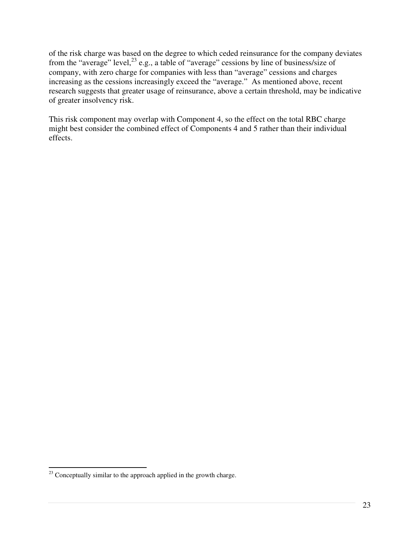of the risk charge was based on the degree to which ceded reinsurance for the company deviates from the "average" level,  $^{23}$  e.g., a table of "average" cessions by line of business/size of company, with zero charge for companies with less than "average" cessions and charges increasing as the cessions increasingly exceed the "average." As mentioned above, recent research suggests that greater usage of reinsurance, above a certain threshold, may be indicative of greater insolvency risk.

This risk component may overlap with Component 4, so the effect on the total RBC charge might best consider the combined effect of Components 4 and 5 rather than their individual effects.

 $\overline{\phantom{a}}$ 

 $2<sup>23</sup>$  Conceptually similar to the approach applied in the growth charge.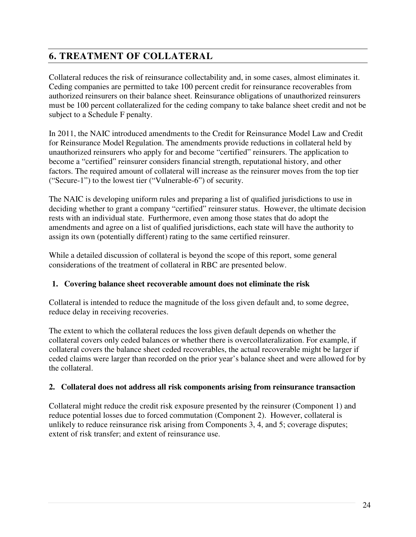# **6. TREATMENT OF COLLATERAL**

Collateral reduces the risk of reinsurance collectability and, in some cases, almost eliminates it. Ceding companies are permitted to take 100 percent credit for reinsurance recoverables from authorized reinsurers on their balance sheet. Reinsurance obligations of unauthorized reinsurers must be 100 percent collateralized for the ceding company to take balance sheet credit and not be subject to a Schedule F penalty.

In 2011, the NAIC introduced amendments to the Credit for Reinsurance Model Law and Credit for Reinsurance Model Regulation. The amendments provide reductions in collateral held by unauthorized reinsurers who apply for and become "certified" reinsurers. The application to become a "certified" reinsurer considers financial strength, reputational history, and other factors. The required amount of collateral will increase as the reinsurer moves from the top tier ("Secure-1") to the lowest tier ("Vulnerable-6") of security.

The NAIC is developing uniform rules and preparing a list of qualified jurisdictions to use in deciding whether to grant a company "certified" reinsurer status. However, the ultimate decision rests with an individual state. Furthermore, even among those states that do adopt the amendments and agree on a list of qualified jurisdictions, each state will have the authority to assign its own (potentially different) rating to the same certified reinsurer.

While a detailed discussion of collateral is beyond the scope of this report, some general considerations of the treatment of collateral in RBC are presented below.

#### **1. Covering balance sheet recoverable amount does not eliminate the risk**

Collateral is intended to reduce the magnitude of the loss given default and, to some degree, reduce delay in receiving recoveries.

The extent to which the collateral reduces the loss given default depends on whether the collateral covers only ceded balances or whether there is overcollateralization. For example, if collateral covers the balance sheet ceded recoverables, the actual recoverable might be larger if ceded claims were larger than recorded on the prior year's balance sheet and were allowed for by the collateral.

#### **2. Collateral does not address all risk components arising from reinsurance transaction**

Collateral might reduce the credit risk exposure presented by the reinsurer (Component 1) and reduce potential losses due to forced commutation (Component 2). However, collateral is unlikely to reduce reinsurance risk arising from Components 3, 4, and 5; coverage disputes; extent of risk transfer; and extent of reinsurance use.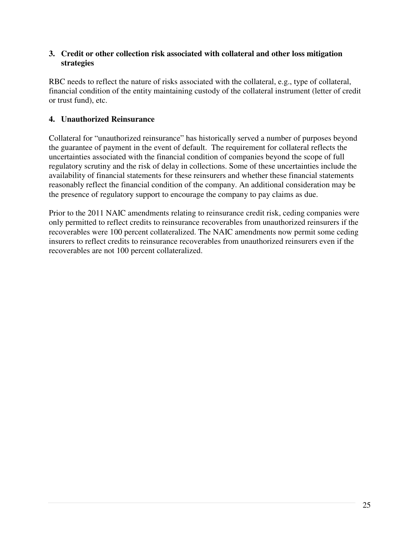#### **3. Credit or other collection risk associated with collateral and other loss mitigation strategies**

RBC needs to reflect the nature of risks associated with the collateral, e.g., type of collateral, financial condition of the entity maintaining custody of the collateral instrument (letter of credit or trust fund), etc.

### **4. Unauthorized Reinsurance**

Collateral for "unauthorized reinsurance" has historically served a number of purposes beyond the guarantee of payment in the event of default. The requirement for collateral reflects the uncertainties associated with the financial condition of companies beyond the scope of full regulatory scrutiny and the risk of delay in collections. Some of these uncertainties include the availability of financial statements for these reinsurers and whether these financial statements reasonably reflect the financial condition of the company. An additional consideration may be the presence of regulatory support to encourage the company to pay claims as due.

Prior to the 2011 NAIC amendments relating to reinsurance credit risk, ceding companies were only permitted to reflect credits to reinsurance recoverables from unauthorized reinsurers if the recoverables were 100 percent collateralized. The NAIC amendments now permit some ceding insurers to reflect credits to reinsurance recoverables from unauthorized reinsurers even if the recoverables are not 100 percent collateralized.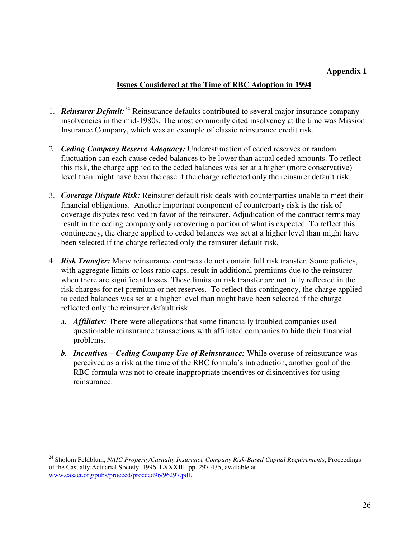#### **Appendix 1**

#### **Issues Considered at the Time of RBC Adoption in 1994**

- 1. *Reinsurer Default:*<sup>24</sup> Reinsurance defaults contributed to several major insurance company insolvencies in the mid-1980s. The most commonly cited insolvency at the time was Mission Insurance Company, which was an example of classic reinsurance credit risk.
- 2. *Ceding Company Reserve Adequacy:* Underestimation of ceded reserves or random fluctuation can each cause ceded balances to be lower than actual ceded amounts. To reflect this risk, the charge applied to the ceded balances was set at a higher (more conservative) level than might have been the case if the charge reflected only the reinsurer default risk.
- 3. *Coverage Dispute Risk:* Reinsurer default risk deals with counterparties unable to meet their financial obligations. Another important component of counterparty risk is the risk of coverage disputes resolved in favor of the reinsurer. Adjudication of the contract terms may result in the ceding company only recovering a portion of what is expected. To reflect this contingency, the charge applied to ceded balances was set at a higher level than might have been selected if the charge reflected only the reinsurer default risk.
- 4. *Risk Transfer:* Many reinsurance contracts do not contain full risk transfer. Some policies, with aggregate limits or loss ratio caps, result in additional premiums due to the reinsurer when there are significant losses. These limits on risk transfer are not fully reflected in the risk charges for net premium or net reserves. To reflect this contingency, the charge applied to ceded balances was set at a higher level than might have been selected if the charge reflected only the reinsurer default risk.
	- a. *Affiliates:* There were allegations that some financially troubled companies used questionable reinsurance transactions with affiliated companies to hide their financial problems.
	- *b. Incentives Ceding Company Use of Reinsurance:* While overuse of reinsurance was perceived as a risk at the time of the RBC formula's introduction, another goal of the RBC formula was not to create inappropriate incentives or disincentives for using reinsurance.

 $\overline{\phantom{a}}$ 

<sup>&</sup>lt;sup>24</sup> Sholom Feldblum, *NAIC Property/Casualty Insurance Company Risk-Based Capital Requirements*, Proceedings of the Casualty Actuarial Society, 1996, LXXXIII, pp. 297-435, available at www.casact.org/pubs/proceed/proceed96/96297.pdf.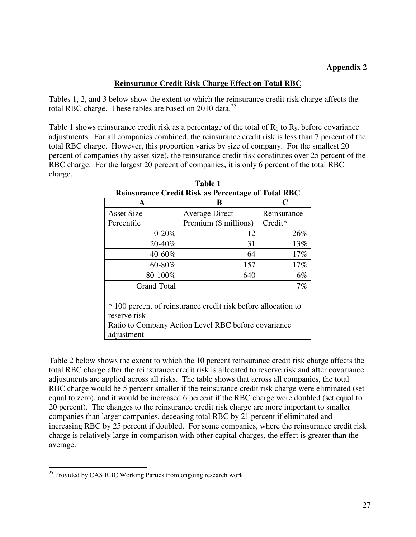#### **Reinsurance Credit Risk Charge Effect on Total RBC**

Tables 1, 2, and 3 below show the extent to which the reinsurance credit risk charge affects the total RBC charge. These tables are based on  $2010$  data.<sup>25</sup>

Table 1 shows reinsurance credit risk as a percentage of the total of  $R_0$  to  $R_5$ , before covariance adjustments. For all companies combined, the reinsurance credit risk is less than 7 percent of the total RBC charge. However, this proportion varies by size of company. For the smallest 20 percent of companies (by asset size), the reinsurance credit risk constitutes over 25 percent of the RBC charge. For the largest 20 percent of companies, it is only 6 percent of the total RBC charge.

| Remsurance Crean Risk as Fercentage of Total RDC              |                       |             |  |  |  |  |  |
|---------------------------------------------------------------|-----------------------|-------------|--|--|--|--|--|
| A                                                             | B                     | C           |  |  |  |  |  |
| <b>Asset Size</b>                                             | <b>Average Direct</b> | Reinsurance |  |  |  |  |  |
| Percentile                                                    | Premium (\$ millions) | Credit*     |  |  |  |  |  |
| $0 - 20%$                                                     | 12                    | 26%         |  |  |  |  |  |
| 20-40%                                                        | 31                    | 13%         |  |  |  |  |  |
| 40-60%                                                        | 64                    | 17%         |  |  |  |  |  |
| 60-80%                                                        | 157                   | 17%         |  |  |  |  |  |
| 80-100%                                                       | 640                   | $6\%$       |  |  |  |  |  |
| <b>Grand Total</b>                                            |                       | 7%          |  |  |  |  |  |
|                                                               |                       |             |  |  |  |  |  |
| * 100 percent of reinsurance credit risk before allocation to |                       |             |  |  |  |  |  |
| reserve risk                                                  |                       |             |  |  |  |  |  |
| Ratio to Company Action Level RBC before covariance           |                       |             |  |  |  |  |  |
| adjustment                                                    |                       |             |  |  |  |  |  |

**Table 1 Reinsurance Credit Risk as Percentage of Total RBC** 

Table 2 below shows the extent to which the 10 percent reinsurance credit risk charge affects the total RBC charge after the reinsurance credit risk is allocated to reserve risk and after covariance adjustments are applied across all risks. The table shows that across all companies, the total RBC charge would be 5 percent smaller if the reinsurance credit risk charge were eliminated (set equal to zero), and it would be increased 6 percent if the RBC charge were doubled (set equal to 20 percent). The changes to the reinsurance credit risk charge are more important to smaller companies than larger companies, deceasing total RBC by 21 percent if eliminated and increasing RBC by 25 percent if doubled. For some companies, where the reinsurance credit risk charge is relatively large in comparison with other capital charges, the effect is greater than the average.

 $\overline{\phantom{a}}$ 

<sup>&</sup>lt;sup>25</sup> Provided by CAS RBC Working Parties from ongoing research work.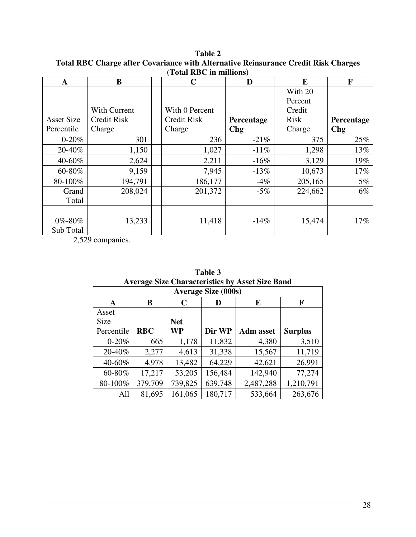| A                 | B                   |  | C                  | D          |  | E           | F          |  |  |  |
|-------------------|---------------------|--|--------------------|------------|--|-------------|------------|--|--|--|
|                   |                     |  |                    |            |  | With 20     |            |  |  |  |
|                   |                     |  |                    |            |  | Percent     |            |  |  |  |
|                   | <b>With Current</b> |  | With 0 Percent     |            |  | Credit      |            |  |  |  |
| <b>Asset Size</b> | <b>Credit Risk</b>  |  | <b>Credit Risk</b> | Percentage |  | <b>Risk</b> | Percentage |  |  |  |
| Percentile        | Charge              |  | Charge             | <b>Chg</b> |  | Charge      | <b>Chg</b> |  |  |  |
| $0 - 20%$         | 301                 |  | 236                | $-21\%$    |  | 375         | 25%        |  |  |  |
| 20-40%            | 1,150               |  | 1,027              | $-11\%$    |  | 1,298       | 13%        |  |  |  |
| 40-60%            | 2,624               |  | 2,211              | $-16\%$    |  | 3,129       | 19%        |  |  |  |
| 60-80%            | 9,159               |  | 7,945              | $-13%$     |  | 10,673      | 17%        |  |  |  |
| 80-100%           | 194,791             |  | 186,177            | $-4\%$     |  | 205,165     | $5\%$      |  |  |  |
| Grand             | 208,024             |  | 201,372            | $-5\%$     |  | 224,662     | $6\%$      |  |  |  |
| Total             |                     |  |                    |            |  |             |            |  |  |  |
|                   |                     |  |                    |            |  |             |            |  |  |  |
| 0%-80%            | 13,233              |  | 11,418             | $-14%$     |  | 15,474      | $17\%$     |  |  |  |
| Sub Total         |                     |  |                    |            |  |             |            |  |  |  |

**Table 2 Total RBC Charge after Covariance with Alternative Reinsurance Credit Risk Charges (Total RBC in millions)** 

2,529 companies.

|                            | Average Size Characteristics by Asset Size Band |            |         |                  |                |  |  |  |  |
|----------------------------|-------------------------------------------------|------------|---------|------------------|----------------|--|--|--|--|
| <b>Average Size (000s)</b> |                                                 |            |         |                  |                |  |  |  |  |
| A                          | B                                               | C          | I)      | E                | F              |  |  |  |  |
| Asset                      |                                                 |            |         |                  |                |  |  |  |  |
| <b>Size</b>                |                                                 | <b>Net</b> |         |                  |                |  |  |  |  |
| Percentile                 | <b>RBC</b>                                      | WP         | Dir WP  | <b>Adm</b> asset | <b>Surplus</b> |  |  |  |  |
| $0 - 20%$                  | 665                                             | 1,178      | 11,832  | 4,380            | 3,510          |  |  |  |  |
| 20-40%                     | 2,277                                           | 4,613      | 31,338  | 15,567           | 11,719         |  |  |  |  |
| 40-60%                     | 4,978                                           | 13,482     | 64,229  | 42,621           | 26,991         |  |  |  |  |
| 60-80%                     | 17,217                                          | 53,205     | 156,484 | 142,940          | 77,274         |  |  |  |  |
| 80-100%                    | 379,709                                         | 739,825    | 639,748 | 2,487,288        | 1,210,791      |  |  |  |  |
| All                        | 81,695                                          | 161,065    | 180,717 | 533,664          | 263,676        |  |  |  |  |

**Table 3 Average Size Characteristics by Asset Size Band**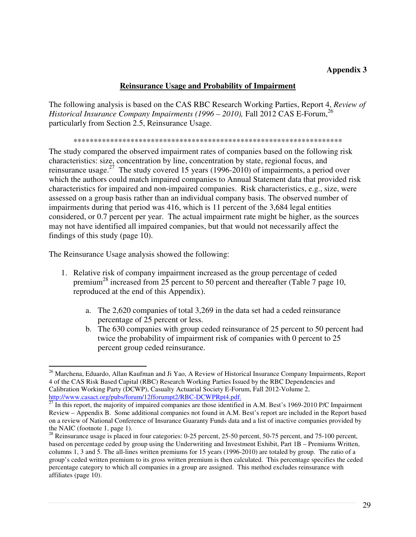#### **Appendix 3**

#### **Reinsurance Usage and Probability of Impairment**

The following analysis is based on the CAS RBC Research Working Parties, Report 4, *Review of Historical Insurance Company Impairments (1996 – 2010), Fall 2012 CAS E-Forum,*<sup>26</sup> particularly from Section 2.5, Reinsurance Usage.

#### \*\*\*\*\*\*\*\*\*\*\*\*\*\*\*\*\*\*\*\*\*\*\*\*\*\*\*\*\*\*\*\*\*\*\*\*\*\*\*\*\*\*\*\*\*\*\*\*\*\*\*\*\*\*\*\*\*\*\*\*\*\*\*\*\*\*

The study compared the observed impairment rates of companies based on the following risk characteristics: size, concentration by line, concentration by state, regional focus, and reinsurance usage.<sup>27</sup> The study covered 15 years (1996-2010) of impairments, a period over which the authors could match impaired companies to Annual Statement data that provided risk characteristics for impaired and non-impaired companies. Risk characteristics, e.g., size, were assessed on a group basis rather than an individual company basis. The observed number of impairments during that period was 416, which is 11 percent of the 3,684 legal entities considered, or 0.7 percent per year. The actual impairment rate might be higher, as the sources may not have identified all impaired companies, but that would not necessarily affect the findings of this study (page 10).

The Reinsurance Usage analysis showed the following:

l

- 1. Relative risk of company impairment increased as the group percentage of ceded premium<sup>28</sup> increased from 25 percent to 50 percent and thereafter (Table 7 page 10, reproduced at the end of this Appendix).
	- a. The 2,620 companies of total 3,269 in the data set had a ceded reinsurance percentage of 25 percent or less.
	- b. The 630 companies with group ceded reinsurance of 25 percent to 50 percent had twice the probability of impairment risk of companies with 0 percent to 25 percent group ceded reinsurance.

<sup>&</sup>lt;sup>26</sup> Marchena, Eduardo, Allan Kaufman and Ji Yao, A Review of Historical Insurance Company Impairments, Report 4 of the CAS Risk Based Capital (RBC) Research Working Parties Issued by the RBC Dependencies and Calibration Working Party (DCWP), Casualty Actuarial Society E-Forum, Fall 2012-Volume 2, http://www.casact.org/pubs/forum/12fforumpt2/RBC-DCWPRpt4.pdf.

 $\frac{100 \times 100 \times 100 \times 100 \times 100 \times 100 \times 100 \times 100 \times 100 \times 100}{27}$  In this report, the majority of impaired companies are those identified in A.M. Best's 1969-2010 P/C Impairment Review – Appendix B. Some additional companies not found in A.M. Best's report are included in the Report based on a review of National Conference of Insurance Guaranty Funds data and a list of inactive companies provided by the NAIC (footnote 1, page 1).

 $^{28}$  Reinsurance usage is placed in four categories: 0-25 percent, 25-50 percent, 50-75 percent, and 75-100 percent, based on percentage ceded by group using the Underwriting and Investment Exhibit, Part 1B – Premiums Written, columns 1, 3 and 5. The all-lines written premiums for 15 years (1996-2010) are totaled by group. The ratio of a group's ceded written premium to its gross written premium is then calculated. This percentage specifies the ceded percentage category to which all companies in a group are assigned. This method excludes reinsurance with affiliates (page 10).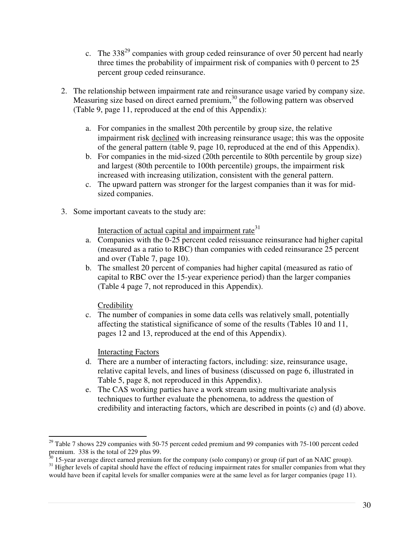- c. The  $338^{29}$  companies with group ceded reinsurance of over 50 percent had nearly three times the probability of impairment risk of companies with 0 percent to 25 percent group ceded reinsurance.
- 2. The relationship between impairment rate and reinsurance usage varied by company size. Measuring size based on direct earned premium, $30$  the following pattern was observed (Table 9, page 11, reproduced at the end of this Appendix):
	- a. For companies in the smallest 20th percentile by group size, the relative impairment risk declined with increasing reinsurance usage; this was the opposite of the general pattern (table 9, page 10, reproduced at the end of this Appendix).
	- b. For companies in the mid-sized (20th percentile to 80th percentile by group size) and largest (80th percentile to 100th percentile) groups, the impairment risk increased with increasing utilization, consistent with the general pattern.
	- c. The upward pattern was stronger for the largest companies than it was for midsized companies.
- 3. Some important caveats to the study are:

Interaction of actual capital and impairment rate<sup>31</sup>

- a. Companies with the 0-25 percent ceded reissuance reinsurance had higher capital (measured as a ratio to RBC) than companies with ceded reinsurance 25 percent and over (Table 7, page 10).
- b. The smallest 20 percent of companies had higher capital (measured as ratio of capital to RBC over the 15-year experience period) than the larger companies (Table 4 page 7, not reproduced in this Appendix).

#### Credibility

c. The number of companies in some data cells was relatively small, potentially affecting the statistical significance of some of the results (Tables 10 and 11, pages 12 and 13, reproduced at the end of this Appendix).

Interacting Factors

- d. There are a number of interacting factors, including: size, reinsurance usage, relative capital levels, and lines of business (discussed on page 6, illustrated in Table 5, page 8, not reproduced in this Appendix).
- e. The CAS working parties have a work stream using multivariate analysis techniques to further evaluate the phenomena, to address the question of credibility and interacting factors, which are described in points (c) and (d) above.

l <sup>29</sup> Table 7 shows 229 companies with 50-75 percent ceded premium and 99 companies with 75-100 percent ceded premium. 338 is the total of 229 plus 99.

 $30$  15-year average direct earned premium for the company (solo company) or group (if part of an NAIC group).

 $31$  Higher levels of capital should have the effect of reducing impairment rates for smaller companies from what they would have been if capital levels for smaller companies were at the same level as for larger companies (page 11).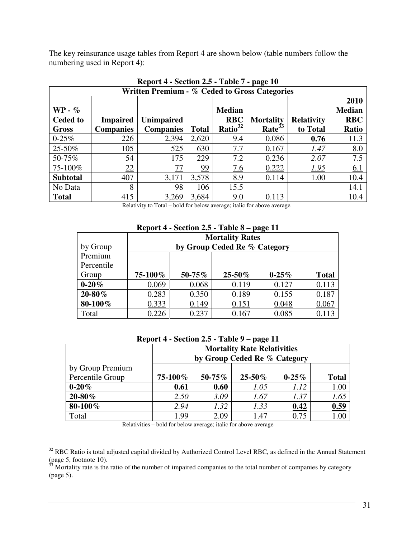The key reinsurance usage tables from Report 4 are shown below (table numbers follow the numbering used in Report 4):

|                              | $\frac{1}{2}$ - $\frac{1}{2}$ - $\frac{1}{2}$ - $\frac{1}{2}$ $\frac{1}{2}$ $\frac{1}{2}$ $\frac{1}{2}$ $\frac{1}{2}$ $\frac{1}{2}$ $\frac{1}{2}$ $\frac{1}{2}$ $\frac{1}{2}$ $\frac{1}{2}$ $\frac{1}{2}$ $\frac{1}{2}$ $\frac{1}{2}$ $\frac{1}{2}$ $\frac{1}{2}$ $\frac{1}{2}$ $\frac{1}{2}$ $\frac{1}{2}$ $\frac{1$<br>Written Premium - % Ceded to Gross Categories |                   |              |                             |                    |                   |                                     |  |  |  |
|------------------------------|------------------------------------------------------------------------------------------------------------------------------------------------------------------------------------------------------------------------------------------------------------------------------------------------------------------------------------------------------------------------|-------------------|--------------|-----------------------------|--------------------|-------------------|-------------------------------------|--|--|--|
| $WP - \%$<br><b>Ceded to</b> | <b>Impaired</b>                                                                                                                                                                                                                                                                                                                                                        | <b>Unimpaired</b> |              | <b>Median</b><br><b>RBC</b> | <b>Mortality</b>   | <b>Relativity</b> | 2010<br><b>Median</b><br><b>RBC</b> |  |  |  |
| <b>Gross</b>                 | <b>Companies</b>                                                                                                                                                                                                                                                                                                                                                       | <b>Companies</b>  | <b>Total</b> | Ratio <sup>32</sup>         | Rate <sup>33</sup> | to Total          | <b>Ratio</b>                        |  |  |  |
| $0 - 25\%$                   | 226                                                                                                                                                                                                                                                                                                                                                                    | 2,394             | 2,620        | 9.4                         | 0.086              | 0.76              | 11.3                                |  |  |  |
| 25-50%                       | 105                                                                                                                                                                                                                                                                                                                                                                    | 525               | 630          | 7.7                         | 0.167              | 1.47              | 8.0                                 |  |  |  |
| 50-75%                       | 54                                                                                                                                                                                                                                                                                                                                                                     | 175               | 229          | 7.2                         | 0.236              | 2.07              | 7.5                                 |  |  |  |
| 75-100%                      | 22                                                                                                                                                                                                                                                                                                                                                                     | 77                | 99           | 7.6                         | 0.222              | 1.95              | 6.1                                 |  |  |  |
| <b>Subtotal</b>              | 407                                                                                                                                                                                                                                                                                                                                                                    | 3,171             | 3,578        | 8.9                         | 0.114              | 1.00              | 10.4                                |  |  |  |
| No Data                      | 8                                                                                                                                                                                                                                                                                                                                                                      | 98                | 106          | 15.5                        |                    |                   | 14.1                                |  |  |  |
| <b>Total</b>                 | 415                                                                                                                                                                                                                                                                                                                                                                    | 3,269             | 3,684        | 9.0                         | 0.113              |                   | 10.4                                |  |  |  |

**Report 4 - Section 2.5 - Table 7 - page 10** 

Relativity to Total – bold for below average; italic for above average

| Report 4 - Section 2.5 - Table 8 – page 11 |
|--------------------------------------------|
|                                            |

|             |         | <b>Mortality Rates</b>       |             |            |              |  |  |  |  |
|-------------|---------|------------------------------|-------------|------------|--------------|--|--|--|--|
| by Group    |         | by Group Ceded Re % Category |             |            |              |  |  |  |  |
| Premium     |         |                              |             |            |              |  |  |  |  |
| Percentile  |         |                              |             |            |              |  |  |  |  |
| Group       | 75-100% | 50-75%                       | $25 - 50\%$ | $0 - 25\%$ | <b>Total</b> |  |  |  |  |
| $0 - 20%$   | 0.069   | 0.068                        | 0.119       | 0.127      | 0.113        |  |  |  |  |
| $20 - 80\%$ | 0.283   | 0.350                        | 0.189       | 0.155      | 0.187        |  |  |  |  |
| 80-100%     | 0.333   | 0.149                        | 0.151       | 0.048      | 0.067        |  |  |  |  |
| Total       | 0.226   | 0.237                        | 0.167       | 0.085      | 0.113        |  |  |  |  |

| Report 4 - Section 2.5 - Table 9 – page 11 |  |  |  |  |
|--------------------------------------------|--|--|--|--|
|--------------------------------------------|--|--|--|--|

|                  | <b>Mortality Rate Relativities</b><br>by Group Ceded Re % Category |        |             |            |                  |  |  |  |  |
|------------------|--------------------------------------------------------------------|--------|-------------|------------|------------------|--|--|--|--|
| by Group Premium |                                                                    |        |             |            |                  |  |  |  |  |
| Percentile Group | 75-100%                                                            | 50-75% | $25 - 50\%$ | $0 - 25\%$ | <b>Total</b>     |  |  |  |  |
| $0 - 20%$        | 0.61                                                               | 0.60   | 1.05        | 1.12       | 1.00             |  |  |  |  |
| $20 - 80\%$      | 2.50                                                               | 3.09   | 1.67        | 1.37       | 1.65             |  |  |  |  |
| 80-100%          | 2.94                                                               | 1.32   | 1.33        | 0.42       | 0.59             |  |  |  |  |
| Total            | 1.99                                                               | 2.09   | 1.47        | 0.75       | 1.0 <sup>c</sup> |  |  |  |  |

Relativities – bold for below average; italic for above average

l

 $32$  RBC Ratio is total adjusted capital divided by Authorized Control Level RBC, as defined in the Annual Statement (page 5, footnote 10).

 $3\overline{3}$  Mortality rate is the ratio of the number of impaired companies to the total number of companies by category (page 5).